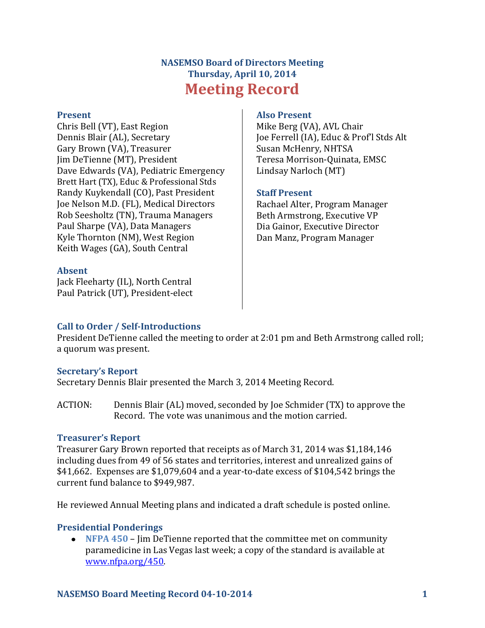# **NASEMSO Board of Directors Meeting Thursday, April 10, 2014 Meeting Record**

#### **Present**

Chris Bell (VT), East Region Dennis Blair (AL), Secretary Gary Brown (VA), Treasurer Jim DeTienne (MT), President Dave Edwards (VA), Pediatric Emergency Brett Hart (TX), Educ & Professional Stds Randy Kuykendall (CO), Past President Joe Nelson M.D. (FL), Medical Directors Rob Seesholtz (TN), Trauma Managers Paul Sharpe (VA), Data Managers Kyle Thornton (NM), West Region Keith Wages (GA), South Central

#### **Absent**

Jack Fleeharty (IL), North Central Paul Patrick (UT), President-elect

### **Also Present**

Mike Berg (VA), AVL Chair Joe Ferrell (IA), Educ & Prof'l Stds Alt Susan McHenry, NHTSA Teresa Morrison-Quinata, EMSC Lindsay Narloch (MT)

### **Staff Present**

Rachael Alter, Program Manager Beth Armstrong, Executive VP Dia Gainor, Executive Director Dan Manz, Program Manager

### **Call to Order / Self-Introductions**

President DeTienne called the meeting to order at 2:01 pm and Beth Armstrong called roll; a quorum was present.

### **Secretary's Report**

Secretary Dennis Blair presented the March 3, 2014 Meeting Record.

ACTION: Dennis Blair (AL) moved, seconded by Joe Schmider (TX) to approve the Record. The vote was unanimous and the motion carried.

### **Treasurer's Report**

Treasurer Gary Brown reported that receipts as of March 31, 2014 was \$1,184,146 including dues from 49 of 56 states and territories, interest and unrealized gains of \$41,662. Expenses are \$1,079,604 and a year-to-date excess of \$104,542 brings the current fund balance to \$949,987.

He reviewed Annual Meeting plans and indicated a draft schedule is posted online.

### **Presidential Ponderings**

**NFPA 450** – Jim DeTienne reported that the committee met on community paramedicine in Las Vegas last week; a copy of the standard is available at [www.nfpa.org/450.](http://www.nfpa.org/450)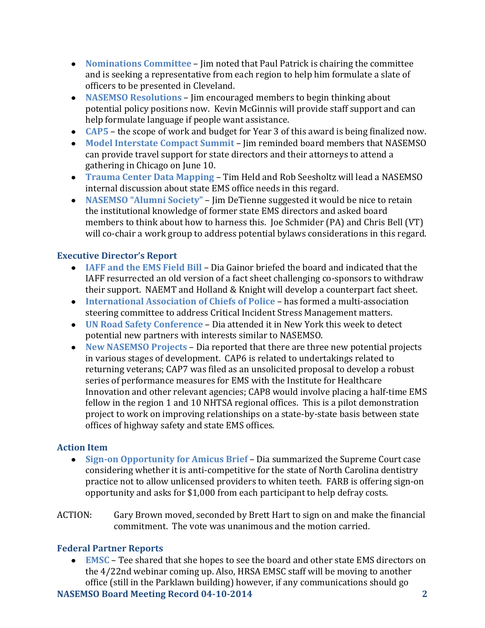- **Nominations Committee** Jim noted that Paul Patrick is chairing the committee and is seeking a representative from each region to help him formulate a slate of officers to be presented in Cleveland.
- **NASEMSO Resolutions** Jim encouraged members to begin thinking about potential policy positions now. Kevin McGinnis will provide staff support and can help formulate language if people want assistance.
- **CAP5**  the scope of work and budget for Year 3 of this award is being finalized now.
- **Model Interstate Compact Summit**  Jim reminded board members that NASEMSO can provide travel support for state directors and their attorneys to attend a gathering in Chicago on June 10.
- **Trauma Center Data Mapping**  Tim Held and Rob Seesholtz will lead a NASEMSO internal discussion about state EMS office needs in this regard.
- **NASEMSO "Alumni Society"**  Jim DeTienne suggested it would be nice to retain the institutional knowledge of former state EMS directors and asked board members to think about how to harness this. Joe Schmider (PA) and Chris Bell (VT) will co-chair a work group to address potential bylaws considerations in this regard.

## **Executive Director's Report**

- **IAFF and the EMS Field Bill** Dia Gainor briefed the board and indicated that the IAFF resurrected an old version of a fact sheet challenging co-sponsors to withdraw their support. NAEMT and Holland & Knight will develop a counterpart fact sheet.
- **International Association of Chiefs of Police**  has formed a multi-association steering committee to address Critical Incident Stress Management matters.
- **UN Road Safety Conference** Dia attended it in New York this week to detect potential new partners with interests similar to NASEMSO.
- **New NASEMSO Projects**  Dia reported that there are three new potential projects in various stages of development. CAP6 is related to undertakings related to returning veterans; CAP7 was filed as an unsolicited proposal to develop a robust series of performance measures for EMS with the Institute for Healthcare Innovation and other relevant agencies; CAP8 would involve placing a half-time EMS fellow in the region 1 and 10 NHTSA regional offices. This is a pilot demonstration project to work on improving relationships on a state-by-state basis between state offices of highway safety and state EMS offices.

### **Action Item**

- **Sign-on Opportunity for Amicus Brief** Dia summarized the Supreme Court case considering whether it is anti-competitive for the state of North Carolina dentistry practice not to allow unlicensed providers to whiten teeth. FARB is offering sign-on opportunity and asks for \$1,000 from each participant to help defray costs.
- ACTION: Gary Brown moved, seconded by Brett Hart to sign on and make the financial commitment. The vote was unanimous and the motion carried.

# **Federal Partner Reports**

**EMSC** – Tee shared that she hopes to see the board and other state EMS directors on the 4/22nd webinar coming up. Also, HRSA EMSC staff will be moving to another office (still in the Parklawn building) however, if any communications should go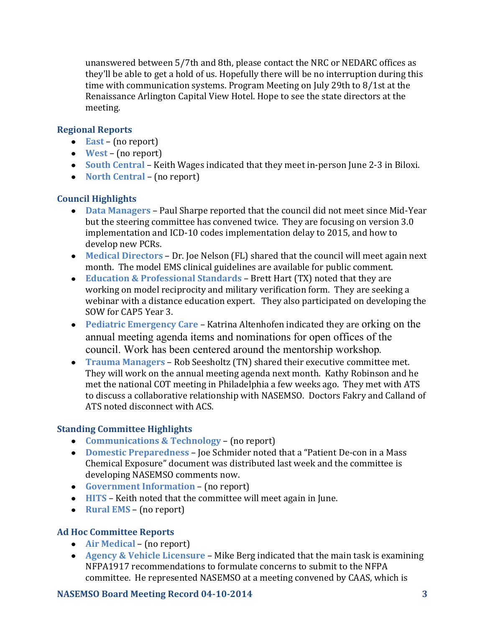unanswered between 5/7th and 8th, please contact the NRC or NEDARC offices as they'll be able to get a hold of us. Hopefully there will be no interruption during this time with communication systems. Program Meeting on July 29th to 8/1st at the Renaissance Arlington Capital View Hotel. Hope to see the state directors at the meeting.

### **Regional Reports**

- **East** (no report)
- **West**  (no report)
- **South Central**  Keith Wages indicated that they meet in-person June 2-3 in Biloxi.
- **North Central (no report)**

### **Council Highlights**

- **Data Managers** Paul Sharpe reported that the council did not meet since Mid-Year but the steering committee has convened twice. They are focusing on version 3.0 implementation and ICD-10 codes implementation delay to 2015, and how to develop new PCRs.
- **Medical Directors** Dr. Joe Nelson (FL) shared that the council will meet again next month. The model EMS clinical guidelines are available for public comment.
- **Education & Professional Standards** Brett Hart (TX) noted that they are working on model reciprocity and military verification form. They are seeking a webinar with a distance education expert. They also participated on developing the SOW for CAP5 Year 3.
- **Pediatric Emergency Care** Katrina Altenhofen indicated they are orking on the annual meeting agenda items and nominations for open offices of the council. Work has been centered around the mentorship workshop.
- **Trauma Managers** Rob Seesholtz (TN) shared their executive committee met. They will work on the annual meeting agenda next month. Kathy Robinson and he met the national COT meeting in Philadelphia a few weeks ago. They met with ATS to discuss a collaborative relationship with NASEMSO. Doctors Fakry and Calland of ATS noted disconnect with ACS.

### **Standing Committee Highlights**

- **Communications & Technology** (no report)
- **Domestic Preparedness** Joe Schmider noted that a "Patient De-con in a Mass Chemical Exposure" document was distributed last week and the committee is developing NASEMSO comments now.
- **Government Information**  (no report)
- **HITS**  Keith noted that the committee will meet again in June.
- **Rural EMS**  (no report)

### **Ad Hoc Committee Reports**

- **Air Medical** (no report)
- **Agency & Vehicle Licensure**  Mike Berg indicated that the main task is examining NFPA1917 recommendations to formulate concerns to submit to the NFPA committee. He represented NASEMSO at a meeting convened by CAAS, which is

### **NASEMSO Board Meeting Record 04-10-2014 3**